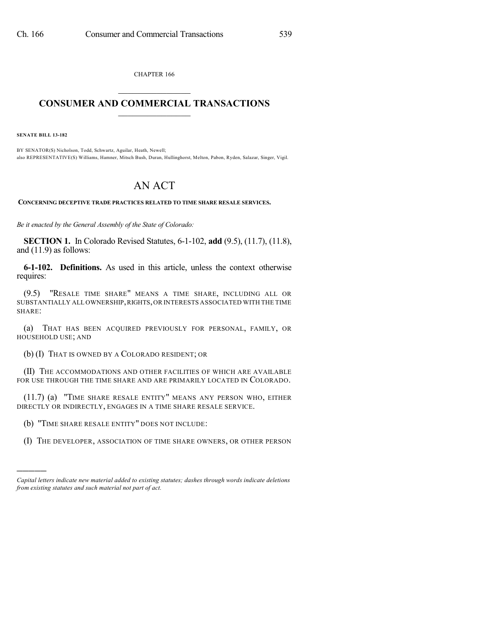CHAPTER 166  $\mathcal{L}_\text{max}$  . The set of the set of the set of the set of the set of the set of the set of the set of the set of the set of the set of the set of the set of the set of the set of the set of the set of the set of the set

## **CONSUMER AND COMMERCIAL TRANSACTIONS**  $\frac{1}{2}$  ,  $\frac{1}{2}$  ,  $\frac{1}{2}$  ,  $\frac{1}{2}$  ,  $\frac{1}{2}$  ,  $\frac{1}{2}$

**SENATE BILL 13-182**

)))))

BY SENATOR(S) Nicholson, Todd, Schwartz, Aguilar, Heath, Newell; also REPRESENTATIVE(S) Williams, Hamner, Mitsch Bush, Duran, Hullinghorst, Melton, Pabon, Ryden, Salazar, Singer, Vigil.

## AN ACT

**CONCERNING DECEPTIVE TRADE PRACTICES RELATED TO TIME SHARE RESALE SERVICES.**

*Be it enacted by the General Assembly of the State of Colorado:*

**SECTION 1.** In Colorado Revised Statutes, 6-1-102, **add** (9.5), (11.7), (11.8), and (11.9) as follows:

**6-1-102. Definitions.** As used in this article, unless the context otherwise requires:

(9.5) "RESALE TIME SHARE" MEANS A TIME SHARE, INCLUDING ALL OR SUBSTANTIALLY ALL OWNERSHIP,RIGHTS,OR INTERESTS ASSOCIATED WITH THE TIME SHARE:

(a) THAT HAS BEEN ACQUIRED PREVIOUSLY FOR PERSONAL, FAMILY, OR HOUSEHOLD USE; AND

(b) (I) THAT IS OWNED BY A COLORADO RESIDENT; OR

(II) THE ACCOMMODATIONS AND OTHER FACILITIES OF WHICH ARE AVAILABLE FOR USE THROUGH THE TIME SHARE AND ARE PRIMARILY LOCATED IN COLORADO.

(11.7) (a) "TIME SHARE RESALE ENTITY" MEANS ANY PERSON WHO, EITHER DIRECTLY OR INDIRECTLY, ENGAGES IN A TIME SHARE RESALE SERVICE.

(b) "TIME SHARE RESALE ENTITY" DOES NOT INCLUDE:

(I) THE DEVELOPER, ASSOCIATION OF TIME SHARE OWNERS, OR OTHER PERSON

*Capital letters indicate new material added to existing statutes; dashes through words indicate deletions from existing statutes and such material not part of act.*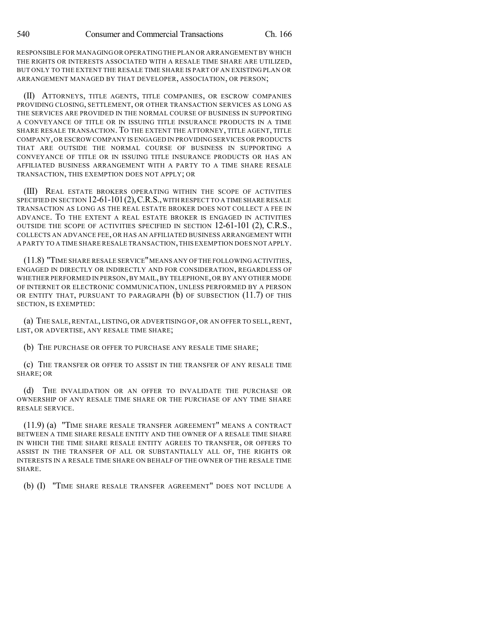RESPONSIBLE FOR MANAGING OR OPERATING THE PLAN OR ARRANGEMENT BY WHICH THE RIGHTS OR INTERESTS ASSOCIATED WITH A RESALE TIME SHARE ARE UTILIZED, BUT ONLY TO THE EXTENT THE RESALE TIME SHARE IS PART OF AN EXISTING PLAN OR ARRANGEMENT MANAGED BY THAT DEVELOPER, ASSOCIATION, OR PERSON;

(II) ATTORNEYS, TITLE AGENTS, TITLE COMPANIES, OR ESCROW COMPANIES PROVIDING CLOSING, SETTLEMENT, OR OTHER TRANSACTION SERVICES AS LONG AS THE SERVICES ARE PROVIDED IN THE NORMAL COURSE OF BUSINESS IN SUPPORTING A CONVEYANCE OF TITLE OR IN ISSUING TITLE INSURANCE PRODUCTS IN A TIME SHARE RESALE TRANSACTION. TO THE EXTENT THE ATTORNEY, TITLE AGENT, TITLE COMPANY,OR ESCROW COMPANY IS ENGAGED IN PROVIDING SERVICES OR PRODUCTS THAT ARE OUTSIDE THE NORMAL COURSE OF BUSINESS IN SUPPORTING A CONVEYANCE OF TITLE OR IN ISSUING TITLE INSURANCE PRODUCTS OR HAS AN AFFILIATED BUSINESS ARRANGEMENT WITH A PARTY TO A TIME SHARE RESALE TRANSACTION, THIS EXEMPTION DOES NOT APPLY; OR

(III) REAL ESTATE BROKERS OPERATING WITHIN THE SCOPE OF ACTIVITIES SPECIFIED IN SECTION 12-61-101 (2), C.R.S., WITH RESPECT TO A TIME SHARE RESALE TRANSACTION AS LONG AS THE REAL ESTATE BROKER DOES NOT COLLECT A FEE IN ADVANCE. TO THE EXTENT A REAL ESTATE BROKER IS ENGAGED IN ACTIVITIES OUTSIDE THE SCOPE OF ACTIVITIES SPECIFIED IN SECTION 12-61-101 (2), C.R.S., COLLECTS AN ADVANCE FEE, OR HAS AN AFFILIATED BUSINESS ARRANGEMENT WITH A PARTY TO A TIME SHARE RESALE TRANSACTION,THIS EXEMPTION DOES NOT APPLY.

(11.8) "TIME SHARE RESALE SERVICE"MEANS ANY OF THE FOLLOWING ACTIVITIES, ENGAGED IN DIRECTLY OR INDIRECTLY AND FOR CONSIDERATION, REGARDLESS OF WHETHER PERFORMED IN PERSON,BY MAIL,BY TELEPHONE,OR BY ANY OTHER MODE OF INTERNET OR ELECTRONIC COMMUNICATION, UNLESS PERFORMED BY A PERSON OR ENTITY THAT, PURSUANT TO PARAGRAPH (b) OF SUBSECTION (11.7) OF THIS SECTION, IS EXEMPTED:

(a) THE SALE, RENTAL, LISTING, OR ADVERTISING OF, OR AN OFFER TO SELL,RENT, LIST, OR ADVERTISE, ANY RESALE TIME SHARE;

(b) THE PURCHASE OR OFFER TO PURCHASE ANY RESALE TIME SHARE;

(c) THE TRANSFER OR OFFER TO ASSIST IN THE TRANSFER OF ANY RESALE TIME SHARE; OR

(d) THE INVALIDATION OR AN OFFER TO INVALIDATE THE PURCHASE OR OWNERSHIP OF ANY RESALE TIME SHARE OR THE PURCHASE OF ANY TIME SHARE RESALE SERVICE.

(11.9) (a) "TIME SHARE RESALE TRANSFER AGREEMENT" MEANS A CONTRACT BETWEEN A TIME SHARE RESALE ENTITY AND THE OWNER OF A RESALE TIME SHARE IN WHICH THE TIME SHARE RESALE ENTITY AGREES TO TRANSFER, OR OFFERS TO ASSIST IN THE TRANSFER OF ALL OR SUBSTANTIALLY ALL OF, THE RIGHTS OR INTERESTS IN A RESALE TIME SHARE ON BEHALF OF THE OWNER OF THE RESALE TIME SHARE.

(b) (I) "TIME SHARE RESALE TRANSFER AGREEMENT" DOES NOT INCLUDE A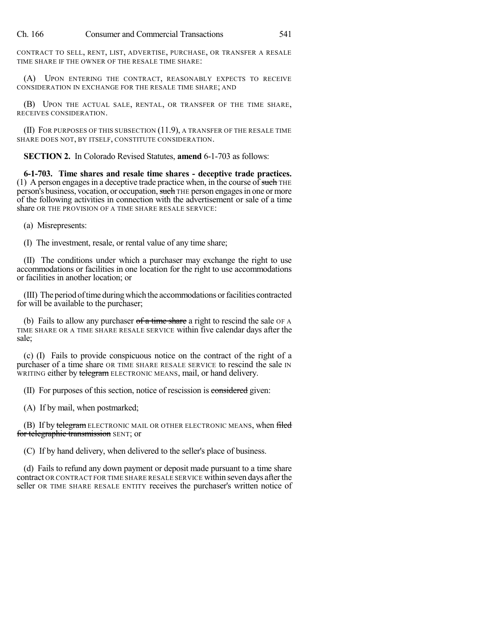Ch. 166 Consumer and Commercial Transactions 541

CONTRACT TO SELL, RENT, LIST, ADVERTISE, PURCHASE, OR TRANSFER A RESALE TIME SHARE IF THE OWNER OF THE RESALE TIME SHARE:

(A) UPON ENTERING THE CONTRACT, REASONABLY EXPECTS TO RECEIVE CONSIDERATION IN EXCHANGE FOR THE RESALE TIME SHARE; AND

(B) UPON THE ACTUAL SALE, RENTAL, OR TRANSFER OF THE TIME SHARE, RECEIVES CONSIDERATION.

(II) FOR PURPOSES OF THIS SUBSECTION (11.9), A TRANSFER OF THE RESALE TIME SHARE DOES NOT, BY ITSELF, CONSTITUTE CONSIDERATION.

**SECTION 2.** In Colorado Revised Statutes, **amend** 6-1-703 as follows:

**6-1-703. Time shares and resale time shares - deceptive trade practices.** (1) A person engages in a deceptive trade practice when, in the course of such THE person's business, vocation, or occupation, such THE person engages in one or more of the following activities in connection with the advertisement or sale of a time share OR THE PROVISION OF A TIME SHARE RESALE SERVICE:

(a) Misrepresents:

(I) The investment, resale, or rental value of any time share;

(II) The conditions under which a purchaser may exchange the right to use accommodations or facilities in one location for the right to use accommodations or facilities in another location; or

(III) The period oftime duringwhich the accommodations orfacilities contracted for will be available to the purchaser;

(b) Fails to allow any purchaser  $of a time share a right to rescind the sale of  $A$$ TIME SHARE OR A TIME SHARE RESALE SERVICE within five calendar days after the sale;

(c) (I) Fails to provide conspicuous notice on the contract of the right of a purchaser of a time share OR TIME SHARE RESALE SERVICE to rescind the sale IN WRITING either by telegram ELECTRONIC MEANS, mail, or hand delivery.

(II) For purposes of this section, notice of rescission is considered given:

(A) If by mail, when postmarked;

(B) If by telegram ELECTRONIC MAIL OR OTHER ELECTRONIC MEANS, when filed for telegraphic transmission SENT; or

(C) If by hand delivery, when delivered to the seller's place of business.

(d) Fails to refund any down payment or deposit made pursuant to a time share contract OR CONTRACT FOR TIME SHARE RESALE SERVICE within seven days afterthe seller OR TIME SHARE RESALE ENTITY receives the purchaser's written notice of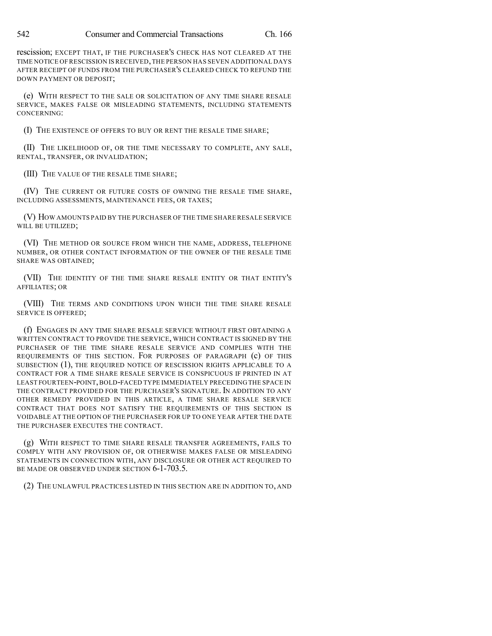rescission; EXCEPT THAT, IF THE PURCHASER'S CHECK HAS NOT CLEARED AT THE TIME NOTICE OF RESCISSION IS RECEIVED,THE PERSON HAS SEVEN ADDITIONAL DAYS AFTER RECEIPT OF FUNDS FROM THE PURCHASER'S CLEARED CHECK TO REFUND THE DOWN PAYMENT OR DEPOSIT;

(e) WITH RESPECT TO THE SALE OR SOLICITATION OF ANY TIME SHARE RESALE SERVICE, MAKES FALSE OR MISLEADING STATEMENTS, INCLUDING STATEMENTS CONCERNING:

(I) THE EXISTENCE OF OFFERS TO BUY OR RENT THE RESALE TIME SHARE;

(II) THE LIKELIHOOD OF, OR THE TIME NECESSARY TO COMPLETE, ANY SALE, RENTAL, TRANSFER, OR INVALIDATION;

(III) THE VALUE OF THE RESALE TIME SHARE;

(IV) THE CURRENT OR FUTURE COSTS OF OWNING THE RESALE TIME SHARE, INCLUDING ASSESSMENTS, MAINTENANCE FEES, OR TAXES;

(V) HOW AMOUNTS PAID BY THE PURCHASER OF THE TIME SHARE RESALE SERVICE WILL BE UTILIZED;

(VI) THE METHOD OR SOURCE FROM WHICH THE NAME, ADDRESS, TELEPHONE NUMBER, OR OTHER CONTACT INFORMATION OF THE OWNER OF THE RESALE TIME SHARE WAS OBTAINED;

(VII) THE IDENTITY OF THE TIME SHARE RESALE ENTITY OR THAT ENTITY'S AFFILIATES; OR

(VIII) THE TERMS AND CONDITIONS UPON WHICH THE TIME SHARE RESALE SERVICE IS OFFERED;

(f) ENGAGES IN ANY TIME SHARE RESALE SERVICE WITHOUT FIRST OBTAINING A WRITTEN CONTRACT TO PROVIDE THE SERVICE, WHICH CONTRACT IS SIGNED BY THE PURCHASER OF THE TIME SHARE RESALE SERVICE AND COMPLIES WITH THE REQUIREMENTS OF THIS SECTION. FOR PURPOSES OF PARAGRAPH (c) OF THIS SUBSECTION (1), THE REQUIRED NOTICE OF RESCISSION RIGHTS APPLICABLE TO A CONTRACT FOR A TIME SHARE RESALE SERVICE IS CONSPICUOUS IF PRINTED IN AT LEAST FOURTEEN-POINT,BOLD-FACED TYPE IMMEDIATELY PRECEDING THE SPACE IN THE CONTRACT PROVIDED FOR THE PURCHASER'S SIGNATURE. IN ADDITION TO ANY OTHER REMEDY PROVIDED IN THIS ARTICLE, A TIME SHARE RESALE SERVICE CONTRACT THAT DOES NOT SATISFY THE REQUIREMENTS OF THIS SECTION IS VOIDABLE AT THE OPTION OF THE PURCHASER FOR UP TO ONE YEAR AFTER THE DATE THE PURCHASER EXECUTES THE CONTRACT.

(g) WITH RESPECT TO TIME SHARE RESALE TRANSFER AGREEMENTS, FAILS TO COMPLY WITH ANY PROVISION OF, OR OTHERWISE MAKES FALSE OR MISLEADING STATEMENTS IN CONNECTION WITH, ANY DISCLOSURE OR OTHER ACT REQUIRED TO BE MADE OR OBSERVED UNDER SECTION 6-1-703.5.

(2) THE UNLAWFUL PRACTICES LISTED IN THIS SECTION ARE IN ADDITION TO, AND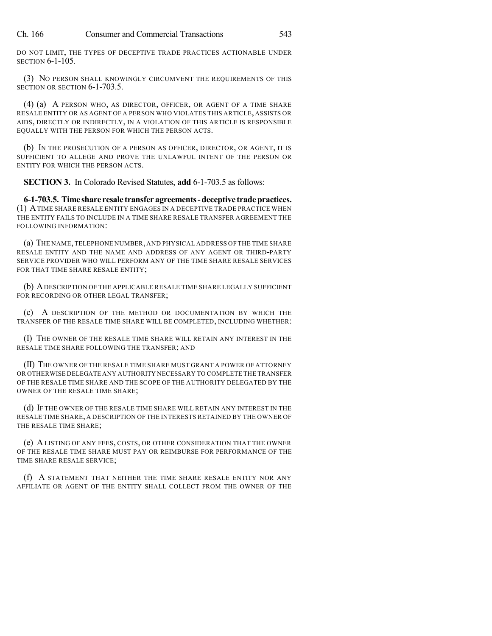Ch. 166 Consumer and Commercial Transactions 543

SECTION 6-1-105.

DO NOT LIMIT, THE TYPES OF DECEPTIVE TRADE PRACTICES ACTIONABLE UNDER

(3) NO PERSON SHALL KNOWINGLY CIRCUMVENT THE REQUIREMENTS OF THIS SECTION OR SECTION 6-1-703.5.

(4) (a) A PERSON WHO, AS DIRECTOR, OFFICER, OR AGENT OF A TIME SHARE RESALE ENTITY OR AS AGENT OF A PERSON WHO VIOLATES THIS ARTICLE, ASSISTS OR AIDS, DIRECTLY OR INDIRECTLY, IN A VIOLATION OF THIS ARTICLE IS RESPONSIBLE EQUALLY WITH THE PERSON FOR WHICH THE PERSON ACTS.

(b) IN THE PROSECUTION OF A PERSON AS OFFICER, DIRECTOR, OR AGENT, IT IS SUFFICIENT TO ALLEGE AND PROVE THE UNLAWFUL INTENT OF THE PERSON OR ENTITY FOR WHICH THE PERSON ACTS.

**SECTION 3.** In Colorado Revised Statutes, **add** 6-1-703.5 as follows:

**6-1-703.5. Time share resale transferagreements-deceptive tradepractices.** (1) ATIME SHARE RESALE ENTITY ENGAGES IN A DECEPTIVE TRADE PRACTICE WHEN THE ENTITY FAILS TO INCLUDE IN A TIME SHARE RESALE TRANSFER AGREEMENT THE FOLLOWING INFORMATION:

(a) THE NAME,TELEPHONE NUMBER, AND PHYSICAL ADDRESS OF THE TIME SHARE RESALE ENTITY AND THE NAME AND ADDRESS OF ANY AGENT OR THIRD-PARTY SERVICE PROVIDER WHO WILL PERFORM ANY OF THE TIME SHARE RESALE SERVICES FOR THAT TIME SHARE RESALE ENTITY;

(b) ADESCRIPTION OF THE APPLICABLE RESALE TIME SHARE LEGALLY SUFFICIENT FOR RECORDING OR OTHER LEGAL TRANSFER;

(c) A DESCRIPTION OF THE METHOD OR DOCUMENTATION BY WHICH THE TRANSFER OF THE RESALE TIME SHARE WILL BE COMPLETED, INCLUDING WHETHER:

(I) THE OWNER OF THE RESALE TIME SHARE WILL RETAIN ANY INTEREST IN THE RESALE TIME SHARE FOLLOWING THE TRANSFER; AND

(II) THE OWNER OF THE RESALE TIME SHARE MUST GRANT A POWER OF ATTORNEY OR OTHERWISE DELEGATE ANY AUTHORITY NECESSARY TO COMPLETE THE TRANSFER OF THE RESALE TIME SHARE AND THE SCOPE OF THE AUTHORITY DELEGATED BY THE OWNER OF THE RESALE TIME SHARE;

(d) IF THE OWNER OF THE RESALE TIME SHARE WILL RETAIN ANY INTEREST IN THE RESALE TIME SHARE, A DESCRIPTION OF THE INTERESTS RETAINED BY THE OWNER OF THE RESALE TIME SHARE;

(e) A LISTING OF ANY FEES, COSTS, OR OTHER CONSIDERATION THAT THE OWNER OF THE RESALE TIME SHARE MUST PAY OR REIMBURSE FOR PERFORMANCE OF THE TIME SHARE RESALE SERVICE;

(f) A STATEMENT THAT NEITHER THE TIME SHARE RESALE ENTITY NOR ANY AFFILIATE OR AGENT OF THE ENTITY SHALL COLLECT FROM THE OWNER OF THE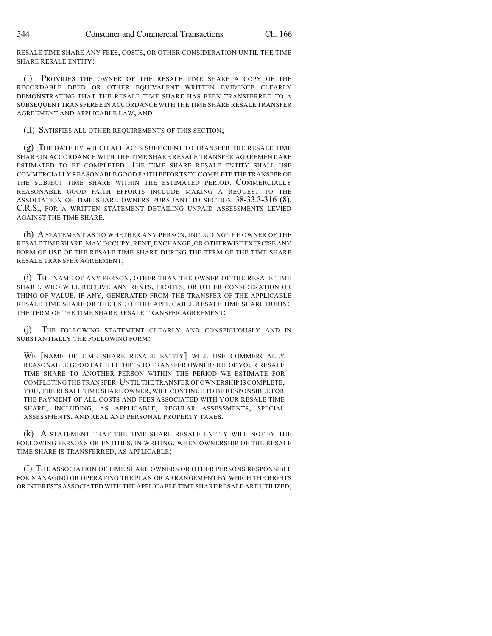RESALE TIME SHARE ANY FEES, COSTS, OR OTHER CONSIDERATION UNTIL THE TIME SHARE RESALE ENTITY:

(I) PROVIDES THE OWNER OF THE RESALE TIME SHARE A COPY OF THE RECORDABLE DEED OR OTHER EQUIVALENT WRITTEN EVIDENCE CLEARLY DEMONSTRATING THAT THE RESALE TIME SHARE HAS BEEN TRANSFERRED TO A SUBSEQUENT TRANSFEREE IN ACCORDANCE WITH THE TIME SHARE RESALE TRANSFER AGREEMENT AND APPLICABLE LAW; AND

(II) SATISFIES ALL OTHER REQUIREMENTS OF THIS SECTION;

(g) THE DATE BY WHICH ALL ACTS SUFFICIENT TO TRANSFER THE RESALE TIME SHARE IN ACCORDANCE WITH THE TIME SHARE RESALE TRANSFER AGREEMENT ARE ESTIMATED TO BE COMPLETED. THE TIME SHARE RESALE ENTITY SHALL USE COMMERCIALLY REASONABLE GOOD FAITH EFFORTS TO COMPLETE THE TRANSFER OF THE SUBJECT TIME SHARE WITHIN THE ESTIMATED PERIOD. COMMERCIALLY REASONABLE GOOD FAITH EFFORTS INCLUDE MAKING A REQUEST TO THE ASSOCIATION OF TIME SHARE OWNERS PURSUANT TO SECTION 38-33.3-316 (8), C.R.S., FOR A WRITTEN STATEMENT DETAILING UNPAID ASSESSMENTS LEVIED AGAINST THE TIME SHARE.

(h) A STATEMENT AS TO WHETHER ANY PERSON, INCLUDING THE OWNER OF THE RESALE TIME SHARE,MAY OCCUPY,RENT,EXCHANGE,OR OTHERWISE EXERCISE ANY FORM OF USE OF THE RESALE TIME SHARE DURING THE TERM OF THE TIME SHARE RESALE TRANSFER AGREEMENT;

(i) THE NAME OF ANY PERSON, OTHER THAN THE OWNER OF THE RESALE TIME SHARE, WHO WILL RECEIVE ANY RENTS, PROFITS, OR OTHER CONSIDERATION OR THING OF VALUE, IF ANY, GENERATED FROM THE TRANSFER OF THE APPLICABLE RESALE TIME SHARE OR THE USE OF THE APPLICABLE RESALE TIME SHARE DURING THE TERM OF THE TIME SHARE RESALE TRANSFER AGREEMENT;

(j) THE FOLLOWING STATEMENT CLEARLY AND CONSPICUOUSLY AND IN SUBSTANTIALLY THE FOLLOWING FORM:

WE [NAME OF TIME SHARE RESALE ENTITY] WILL USE COMMERCIALLY REASONABLE GOOD FAITH EFFORTS TO TRANSFER OWNERSHIP OF YOUR RESALE TIME SHARE TO ANOTHER PERSON WITHIN THE PERIOD WE ESTIMATE FOR COMPLETING THE TRANSFER.UNTIL THE TRANSFER OF OWNERSHIP IS COMPLETE, YOU, THE RESALE TIME SHARE OWNER, WILL CONTINUE TO BE RESPONSIBLE FOR THE PAYMENT OF ALL COSTS AND FEES ASSOCIATED WITH YOUR RESALE TIME SHARE, INCLUDING, AS APPLICABLE, REGULAR ASSESSMENTS, SPECIAL ASSESSMENTS, AND REAL AND PERSONAL PROPERTY TAXES.

(k) A STATEMENT THAT THE TIME SHARE RESALE ENTITY WILL NOTIFY THE FOLLOWING PERSONS OR ENTITIES, IN WRITING, WHEN OWNERSHIP OF THE RESALE TIME SHARE IS TRANSFERRED, AS APPLICABLE:

(I) THE ASSOCIATION OF TIME SHARE OWNERS OR OTHER PERSONS RESPONSIBLE FOR MANAGING OR OPERATING THE PLAN OR ARRANGEMENT BY WHICH THE RIGHTS OR INTERESTS ASSOCIATED WITH THE APPLICABLE TIME SHARE RESALE ARE UTILIZED;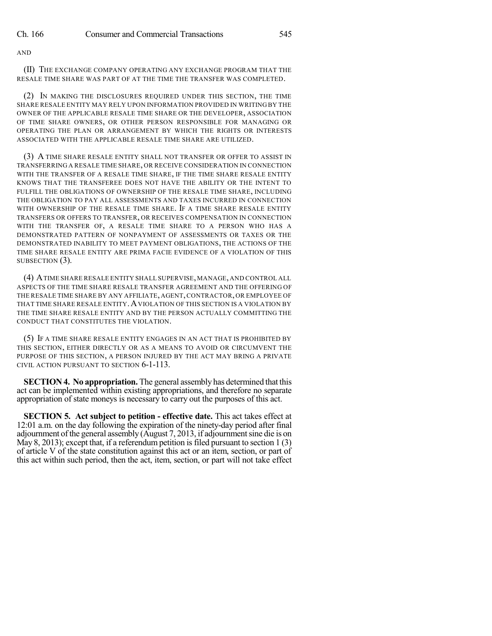AND

(II) THE EXCHANGE COMPANY OPERATING ANY EXCHANGE PROGRAM THAT THE RESALE TIME SHARE WAS PART OF AT THE TIME THE TRANSFER WAS COMPLETED.

(2) IN MAKING THE DISCLOSURES REQUIRED UNDER THIS SECTION, THE TIME SHARE RESALE ENTITY MAY RELY UPON INFORMATION PROVIDED IN WRITING BY THE OWNER OF THE APPLICABLE RESALE TIME SHARE OR THE DEVELOPER, ASSOCIATION OF TIME SHARE OWNERS, OR OTHER PERSON RESPONSIBLE FOR MANAGING OR OPERATING THE PLAN OR ARRANGEMENT BY WHICH THE RIGHTS OR INTERESTS ASSOCIATED WITH THE APPLICABLE RESALE TIME SHARE ARE UTILIZED.

(3) A TIME SHARE RESALE ENTITY SHALL NOT TRANSFER OR OFFER TO ASSIST IN TRANSFERRING A RESALE TIME SHARE, OR RECEIVE CONSIDERATION IN CONNECTION WITH THE TRANSFER OF A RESALE TIME SHARE, IF THE TIME SHARE RESALE ENTITY KNOWS THAT THE TRANSFEREE DOES NOT HAVE THE ABILITY OR THE INTENT TO FULFILL THE OBLIGATIONS OF OWNERSHIP OF THE RESALE TIME SHARE, INCLUDING THE OBLIGATION TO PAY ALL ASSESSMENTS AND TAXES INCURRED IN CONNECTION WITH OWNERSHIP OF THE RESALE TIME SHARE. IF A TIME SHARE RESALE ENTITY TRANSFERS OR OFFERS TO TRANSFER, OR RECEIVES COMPENSATION IN CONNECTION WITH THE TRANSFER OF, A RESALE TIME SHARE TO A PERSON WHO HAS A DEMONSTRATED PATTERN OF NONPAYMENT OF ASSESSMENTS OR TAXES OR THE DEMONSTRATED INABILITY TO MEET PAYMENT OBLIGATIONS, THE ACTIONS OF THE TIME SHARE RESALE ENTITY ARE PRIMA FACIE EVIDENCE OF A VIOLATION OF THIS SUBSECTION  $(3)$ .

(4) ATIME SHARE RESALE ENTITY SHALL SUPERVISE, MANAGE, AND CONTROL ALL ASPECTS OF THE TIME SHARE RESALE TRANSFER AGREEMENT AND THE OFFERING OF THE RESALE TIME SHARE BY ANY AFFILIATE, AGENT,CONTRACTOR, OR EMPLOYEE OF THAT TIME SHARE RESALE ENTITY.AVIOLATION OF THIS SECTION IS A VIOLATION BY THE TIME SHARE RESALE ENTITY AND BY THE PERSON ACTUALLY COMMITTING THE CONDUCT THAT CONSTITUTES THE VIOLATION.

(5) IF A TIME SHARE RESALE ENTITY ENGAGES IN AN ACT THAT IS PROHIBITED BY THIS SECTION, EITHER DIRECTLY OR AS A MEANS TO AVOID OR CIRCUMVENT THE PURPOSE OF THIS SECTION, A PERSON INJURED BY THE ACT MAY BRING A PRIVATE CIVIL ACTION PURSUANT TO SECTION 6-1-113.

**SECTION 4. No appropriation.** The general assembly has determined that this act can be implemented within existing appropriations, and therefore no separate appropriation of state moneys is necessary to carry out the purposes of this act.

**SECTION 5. Act subject to petition - effective date.** This act takes effect at 12:01 a.m. on the day following the expiration of the ninety-day period after final adjournment of the general assembly  $(August 7, 2013, if adjour (111)$ May 8, 2013); except that, if a referendum petition is filed pursuant to section  $1(3)$ of article V of the state constitution against this act or an item, section, or part of this act within such period, then the act, item, section, or part will not take effect